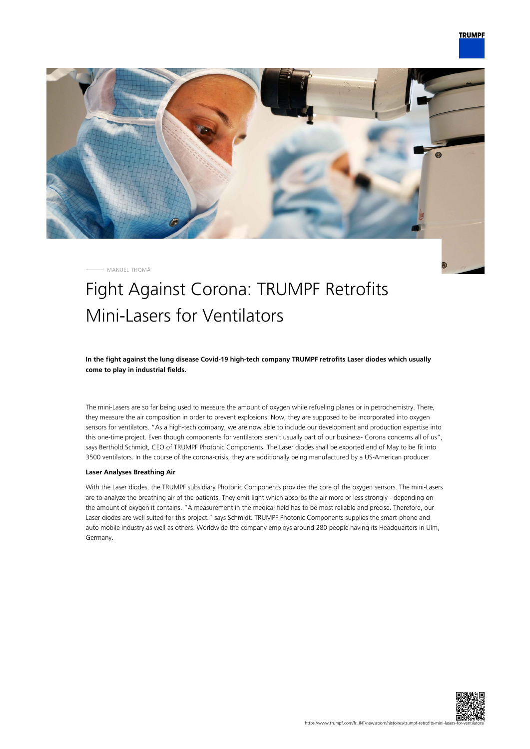

MANUEL THOMÄ

## Fight Against Corona: TRUMPF Retrofits Mini-Lasers for Ventilators

**In the fight against the lung disease Covid-19 high-tech company TRUMPF retrofits Laser diodes which usually come to play in industrial fields.**

The mini-Lasers are so far being used to measure the amount of oxygen while refueling planes or in petrochemistry. There, they measure the air composition in order to prevent explosions. Now, they are supposed to be incorporated into oxygen sensors for ventilators. "As a high-tech company, we are now able to include our development and production expertise into this one-time project. Even though components for ventilators aren't usually part of our business- Corona concerns all of us", says Berthold Schmidt, CEO of TRUMPF Photonic Components. The Laser diodes shall be exported end of May to be fit into 3500 ventilators. In the course of the corona-crisis, they are additionally being manufactured by a US-American producer.

## **Laser Analyses Breathing Air**

With the Laser diodes, the TRUMPF subsidiary Photonic Components provides the core of the oxygen sensors. The mini-Lasers are to analyze the breathing air of the patients. They emit light which absorbs the air more or less strongly - depending on the amount of oxygen it contains. "A measurement in the medical field has to be most reliable and precise. Therefore, our Laser diodes are well suited for this project." says Schmidt. TRUMPF Photonic Components supplies the smart-phone and auto mobile industry as well as others. Worldwide the company employs around 280 people having its Headquarters in Ulm, Germany.